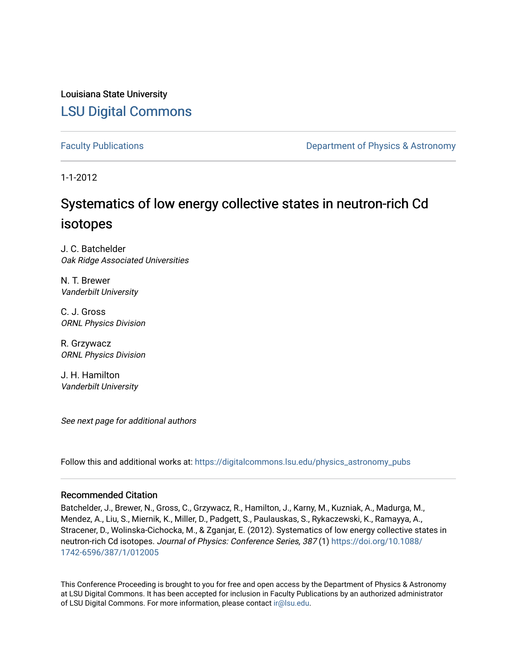Louisiana State University [LSU Digital Commons](https://digitalcommons.lsu.edu/)

[Faculty Publications](https://digitalcommons.lsu.edu/physics_astronomy_pubs) **Exercise 2 and Table 2 and Table 2 and Table 2 and Table 2 and Table 2 and Table 2 and Table 2 and Table 2 and Table 2 and Table 2 and Table 2 and Table 2 and Table 2 and Table 2 and Table 2 and Table** 

1-1-2012

# Systematics of low energy collective states in neutron-rich Cd isotopes

J. C. Batchelder Oak Ridge Associated Universities

N. T. Brewer Vanderbilt University

C. J. Gross ORNL Physics Division

R. Grzywacz ORNL Physics Division

J. H. Hamilton Vanderbilt University

See next page for additional authors

Follow this and additional works at: [https://digitalcommons.lsu.edu/physics\\_astronomy\\_pubs](https://digitalcommons.lsu.edu/physics_astronomy_pubs?utm_source=digitalcommons.lsu.edu%2Fphysics_astronomy_pubs%2F6099&utm_medium=PDF&utm_campaign=PDFCoverPages) 

### Recommended Citation

Batchelder, J., Brewer, N., Gross, C., Grzywacz, R., Hamilton, J., Karny, M., Kuzniak, A., Madurga, M., Mendez, A., Liu, S., Miernik, K., Miller, D., Padgett, S., Paulauskas, S., Rykaczewski, K., Ramayya, A., Stracener, D., Wolinska-Cichocka, M., & Zganjar, E. (2012). Systematics of low energy collective states in neutron-rich Cd isotopes. Journal of Physics: Conference Series, 387 (1) [https://doi.org/10.1088/](https://doi.org/10.1088/1742-6596/387/1/012005) [1742-6596/387/1/012005](https://doi.org/10.1088/1742-6596/387/1/012005)

This Conference Proceeding is brought to you for free and open access by the Department of Physics & Astronomy at LSU Digital Commons. It has been accepted for inclusion in Faculty Publications by an authorized administrator of LSU Digital Commons. For more information, please contact [ir@lsu.edu](mailto:ir@lsu.edu).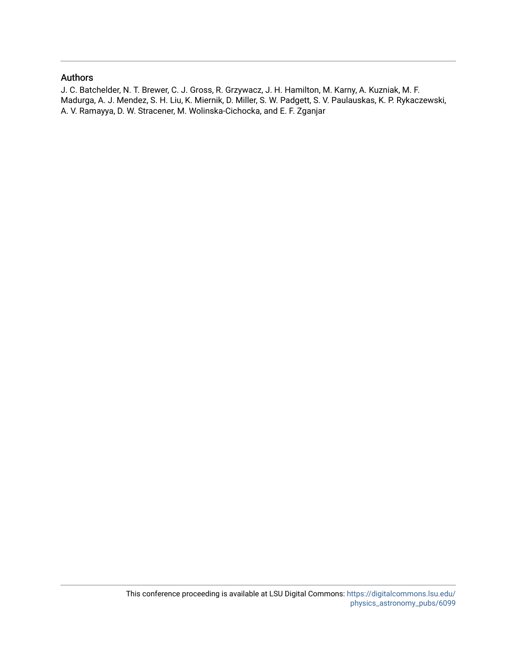## Authors

J. C. Batchelder, N. T. Brewer, C. J. Gross, R. Grzywacz, J. H. Hamilton, M. Karny, A. Kuzniak, M. F. Madurga, A. J. Mendez, S. H. Liu, K. Miernik, D. Miller, S. W. Padgett, S. V. Paulauskas, K. P. Rykaczewski, A. V. Ramayya, D. W. Stracener, M. Wolinska-Cichocka, and E. F. Zganjar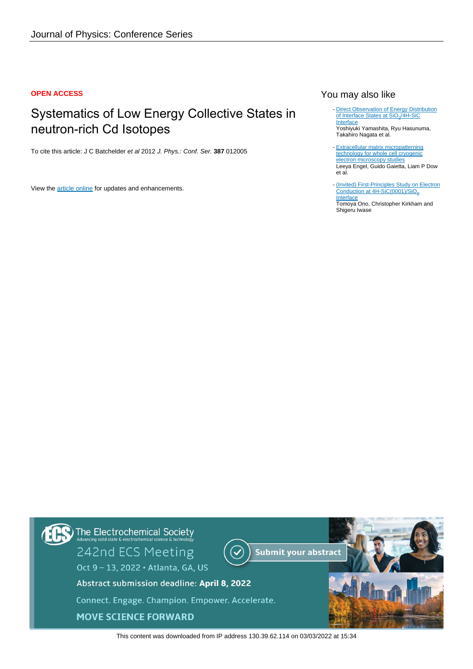### **OPEN ACCESS**

# Systematics of Low Energy Collective States in neutron-rich Cd Isotopes

To cite this article: J C Batchelder et al 2012 J. Phys.: Conf. Ser. **387** 012005

View the [article online](https://doi.org/10.1088/1742-6596/387/1/012005) for updates and enhancements.

## You may also like

- [Direct Observation of Energy Distribution](https://iopscience.iop.org/article/10.1149/MA2016-02/35/2275) [of Interface States at SiO](https://iopscience.iop.org/article/10.1149/MA2016-02/35/2275)<sub>2</sub>[/4H-SiC](https://iopscience.iop.org/article/10.1149/MA2016-02/35/2275) **[Interface](https://iopscience.iop.org/article/10.1149/MA2016-02/35/2275)** Yoshiyuki Yamashita, Ryu Hasunuma, Takahiro Nagata et al.
- [Extracellular matrix micropatterning](https://iopscience.iop.org/article/10.1088/1361-6439/ab419a) [technology for whole cell cryogenic](https://iopscience.iop.org/article/10.1088/1361-6439/ab419a) [electron microscopy studies](https://iopscience.iop.org/article/10.1088/1361-6439/ab419a) Leeya Engel, Guido Gaietta, Liam P Dow et al.
- [\(Invited\) First-Principles Study on Electron](https://iopscience.iop.org/article/10.1149/MA2016-02/27/1816) [Conduction at 4H-SiC\(0001\)/SiO](https://iopscience.iop.org/article/10.1149/MA2016-02/27/1816)<sub>2</sub> **[Interface](https://iopscience.iop.org/article/10.1149/MA2016-02/27/1816)** Tomoya Ono, Christopher Kirkham and Shigeru Iwase -

The Electrochemical Society<br>Advancing solid state & electrochemical science & technology 242nd ECS Meeting **Submit your abstract** Oct 9 - 13, 2022 · Atlanta, GA, US Abstract submission deadline: April 8, 2022 Connect. Engage. Champion. Empower. Accelerate. **MOVE SCIENCE FORWARD** 

This content was downloaded from IP address 130.39.62.114 on 03/03/2022 at 15:34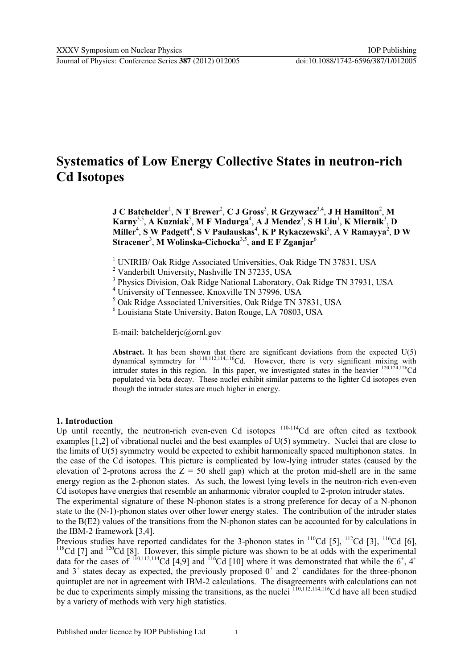# **Systematics of Low Energy Collective States in neutron-rich Cd Isotopes**

**J** C Batchelder<sup>1</sup>, N T Brewer<sup>2</sup>, C **J** Gross<sup>3</sup>, R Grzywacz<sup>3,4</sup>, J H Hamilton<sup>2</sup>, M  $\mathbf{Karny}^{3,5}$ , A  $\mathbf{Kuzniak}^5$ , M F  $\mathbf{Madurga}^4$ , A J  $\mathbf{Mendez}^3$ , S H  $\mathbf{Liu}^1$ ,  $\mathbf{K}\mathbf{Miernik}^3$ , D  $\mathbf{Miller}^4$ , **S W Padgett<sup>4</sup>, S V Paulauskas<sup>4</sup>, K P Rykaczewski<sup>3</sup>, A V Ramayya<sup>2</sup>, D W Stracener**<sup>3</sup> , **M Wolinska-Cichocka**3,5 , **and E F Zganjar**<sup>6</sup>

<sup>1</sup> UNIRIB/ Oak Ridge Associated Universities, Oak Ridge TN 37831, USA

<sup>2</sup> Vanderbilt University, Nashville TN 37235, USA

<sup>3</sup> Physics Division, Oak Ridge National Laboratory, Oak Ridge TN 37931, USA

4 University of Tennessee, Knoxville TN 37996, USA

5 Oak Ridge Associated Universities, Oak Ridge TN 37831, USA

6 Louisiana State University, Baton Rouge, LA 70803, USA

E-mail: batchelderjc@ornl.gov

**Abstract.** It has been shown that there are significant deviations from the expected  $U(5)$ dynamical symmetry for  $^{110,112,114,116}$ Cd. However, there is very significant mixing with intruder states in this region. In this paper, we investigated states in the heavier 120,124,126Cd populated via beta decay. These nuclei exhibit similar patterns to the lighter Cd isotopes even though the intruder states are much higher in energy.

## **1. Introduction**

Up until recently, the neutron-rich even-even Cd isotopes  $110-114$ Cd are often cited as textbook examples [1,2] of vibrational nuclei and the best examples of U(5) symmetry. Nuclei that are close to the limits of U(5) symmetry would be expected to exhibit harmonically spaced multiphonon states. In the case of the Cd isotopes. This picture is complicated by low-lying intruder states (caused by the elevation of 2-protons across the  $Z = 50$  shell gap) which at the proton mid-shell are in the same energy region as the 2-phonon states. As such, the lowest lying levels in the neutron-rich even-even Cd isotopes have energies that resemble an anharmonic vibrator coupled to 2-proton intruder states.

The experimental signature of these N-phonon states is a strong preference for decay of a N-phonon state to the (N-1)-phonon states over other lower energy states. The contribution of the intruder states to the B(E2) values of the transitions from the N-phonon states can be accounted for by calculations in the IBM-2 framework [3,4].

Previous studies have reported candidates for the 3-phonon states in  $^{110}$ Cd [5],  $^{112}$ Cd [3],  $^{116}$ Cd [6],  $118$ Cd [7] and  $120$ Cd [8]. However, this simple picture was shown to be at odds with the experimental data for the cases of  $110,112,114$ Cd [4,9] and  $116$ Cd [10] where it was demonstrated that while the 6<sup>+</sup>, 4<sup>+</sup> and  $3^+$  states decay as expected, the previously proposed  $0^+$  and  $2^+$  candidates for the three-phonon quintuplet are not in agreement with IBM-2 calculations. The disagreements with calculations can not be due to experiments simply missing the transitions, as the nuclei <sup>110,112,114,116</sup>Cd have all been studied by a variety of methods with very high statistics.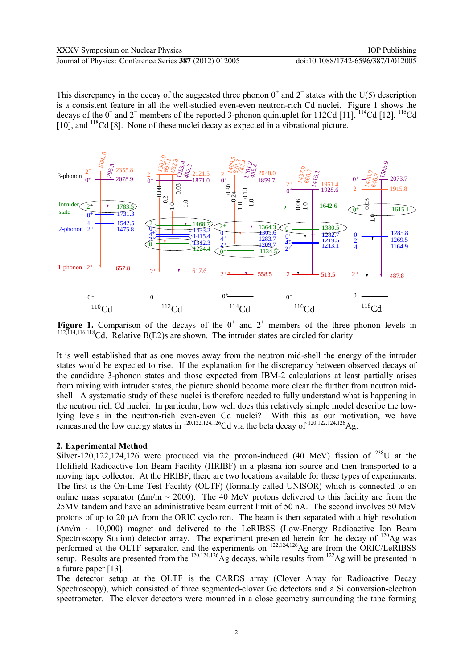This discrepancy in the decay of the suggested three phonon  $0^+$  and  $2^+$  states with the U(5) description is a consistent feature in all the well-studied even-even neutron-rich Cd nuclei. Figure 1 shows the decays of the  $0^+$  and  $2^+$  members of the reported 3-phonon quintuplet for 112Cd [11],  $^{114}$ Cd [12],  $^{116}$ Cd [10], and <sup>118</sup>Cd [8]. None of these nuclei decay as expected in a vibrational picture.



**Figure 1.** Comparison of the decays of the  $0^+$  and  $2^+$  members of the three phonon levels in <sup>112,114,116,118</sup>Cd. Relative B(E2)s are shown. The intruder states are circled for clarity.

It is well established that as one moves away from the neutron mid-shell the energy of the intruder states would be expected to rise. If the explanation for the discrepancy between observed decays of the candidate 3-phonon states and those expected from IBM-2 calculations at least partially arises from mixing with intruder states, the picture should become more clear the further from neutron midshell. A systematic study of these nuclei is therefore needed to fully understand what is happening in the neutron rich Cd nuclei. In particular, how well does this relatively simple model describe the lowlying levels in the neutron-rich even-even Cd nuclei? With this as our motivation, we have remeasured the low energy states in  $^{120,122,124,126}$ Cd via the beta decay of  $^{120,122,124,126}$ Ag.

#### **2. Experimental Method**

Silver-120,122,124,126 were produced via the proton-induced (40 MeV) fission of  $^{238}$ U at the Holifield Radioactive Ion Beam Facility (HRIBF) in a plasma ion source and then transported to a moving tape collector. At the HRIBF, there are two locations available for these types of experiments. The first is the On-Line Test Facility (OLTF) (formally called UNISOR) which is connected to an online mass separator ( $\Delta m/m \sim 2000$ ). The 40 MeV protons delivered to this facility are from the 25MV tandem and have an administrative beam current limit of 50 nA. The second involves 50 MeV protons of up to 20  $\mu$ A from the ORIC cyclotron. The beam is then separated with a high resolution  $(\Delta m/m \sim 10,000)$  magnet and delivered to the LeRIBSS (Low-Energy Radioactive Ion Beam Spectroscopy Station) detector array. The experiment presented herein for the decay of  $^{120}$ Ag was performed at the OLTF separator, and the experiments on <sup>122,124,126</sup>Ag are from the ORIC/LeRIBSS setup. Results are presented from the  $^{120,124,126}$  Ag decays, while results from  $^{122}$  Ag will be presented in a future paper [13].

The detector setup at the OLTF is the CARDS array (Clover Array for Radioactive Decay Spectroscopy), which consisted of three segmented-clover Ge detectors and a Si conversion-electron spectrometer. The clover detectors were mounted in a close geometry surrounding the tape forming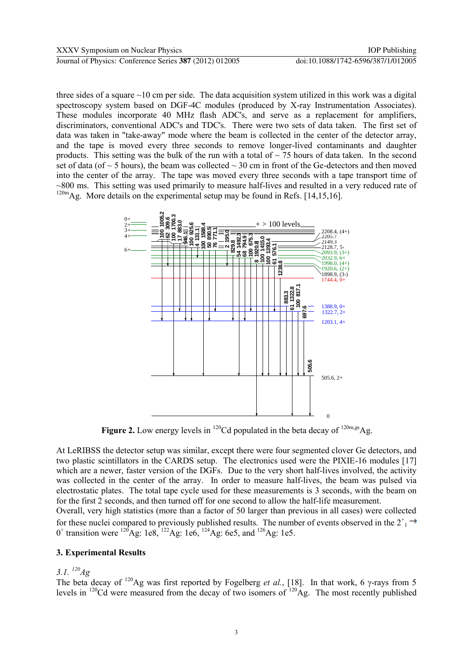three sides of a square  $\sim$ 10 cm per side. The data acquisition system utilized in this work was a digital spectroscopy system based on DGF-4C modules (produced by X-ray Instrumentation Associates). These modules incorporate 40 MHz flash ADC's, and serve as a replacement for amplifiers, discriminators, conventional ADC's and TDC's. There were two sets of data taken. The first set of data was taken in "take-away" mode where the beam is collected in the center of the detector array, and the tape is moved every three seconds to remove longer-lived contaminants and daughter products. This setting was the bulk of the run with a total of  $\sim$  75 hours of data taken. In the second set of data (of  $\sim$  5 hours), the beam was collected  $\sim$  30 cm in front of the Ge-detectors and then moved into the center of the array. The tape was moved every three seconds with a tape transport time of  $\sim$ 800 ms. This setting was used primarily to measure half-lives and resulted in a very reduced rate of



**Figure 2.** Low energy levels in  $^{120}$ Cd populated in the beta decay of  $^{120m,gs}$ Ag.

At LeRIBSS the detector setup was similar, except there were four segmented clover Ge detectors, and two plastic scintillators in the CARDS setup. The electronics used were the PIXIE-16 modules [17] which are a newer, faster version of the DGFs. Due to the very short half-lives involved, the activity was collected in the center of the array. In order to measure half-lives, the beam was pulsed via electrostatic plates. The total tape cycle used for these measurements is 3 seconds, with the beam on for the first 2 seconds, and then turned off for one second to allow the half-life measurement.

Overall, very high statistics (more than a factor of 50 larger than previous in all cases) were collected for these nuclei compared to previously published results. The number of events observed in the  $2^+$ <sub>1</sub> 0<sup>+</sup> transition were <sup>120</sup>Ag: 1e8, <sup>122</sup>Ag: 1e6, <sup>124</sup>Ag: 6e5, and <sup>126</sup>Ag: 1e5.

## **3. Experimental Results**

## *3.1. <sup>120</sup>Ag*

The beta decay of <sup>120</sup>Ag was first reported by Fogelberg *et al.*, [18]. In that work, 6  $\gamma$ -rays from 5 levels in  $^{120}$ Cd were measured from the decay of two isomers of  $^{120}$ Ag. The most recently published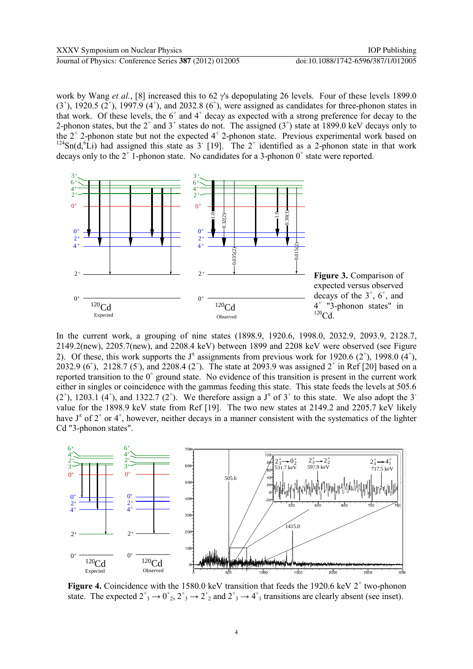work by Wang *et al.*, [8] increased this to 62  $\gamma$ 's depopulating 26 levels. Four of these levels 1899.0  $(3^+)$ , 1920.5  $(2^+)$ , 1997.9  $(4^+)$ , and 2032.8  $(6^+)$ , were assigned as candidates for three-phonon states in that work. Of these levels, the  $6^+$  and  $4^+$  decay as expected with a strong preference for decay to the 2-phonon states, but the  $2^+$  and  $3^+$  states do not. The assigned  $(3^+)$  state at 1899.0 keV decays only to the  $2^+$  2-phonon state but not the expected  $4^+$  2-phonon state. Previous experimental work based on  $124$ Sn(d, <sup>6</sup>Li) had assigned this state as 3<sup>-</sup> [19]. The 2<sup>+</sup> identified as a 2-phonon state in that work decays only to the  $2^+$  1-phonon state. No candidates for a 3-phonon  $0^+$  state were reported.



In the current work, a grouping of nine states (1898.9, 1920.6, 1998.0, 2032.9, 2093.9, 2128.7, 2149.2(new), 2205.7(new), and 2208.4 keV) between 1899 and 2208 keV were observed (see Figure 2). Of these, this work supports the  $J^{\pi}$  assignments from previous work for 1920.6 (2<sup>+</sup>), 1998.0 (4<sup>+</sup>), 2032.9 (6<sup>+</sup>), 2128.7 (5<sup>-</sup>), and 2208.4 (2<sup>+</sup>). The state at 2093.9 was assigned  $2^+$  in Ref [20] based on a reported transition to the  $0^+$  ground state. No evidence of this transition is present in the current work either in singles or coincidence with the gammas feeding this state. This state feeds the levels at 505.6  $(2^+)$ , 1203.1  $(4^+)$ , and 1322.7  $(2^+)$ . We therefore assign a J<sup> $\pi$ </sup> of 3<sup>+</sup> to this state. We also adopt the 3<sup>-</sup> value for the 1898.9 keV state from Ref [19]. The two new states at 2149.2 and 2205.7 keV likely have  $J^{\pi}$  of  $2^{+}$  or  $4^{+}$ , however, neither decays in a manner consistent with the systematics of the lighter Cd "3-phonon states".



**Figure 4.** Coincidence with the 1580.0 keV transition that feeds the 1920.6 keV  $2^+$  two-phonon state. The expected  $2^+_3 \rightarrow 0^+_{2}$ ,  $2^+_3 \rightarrow 2^+_2$  and  $2^+_3 \rightarrow 4^+_1$  transitions are clearly absent (see inset).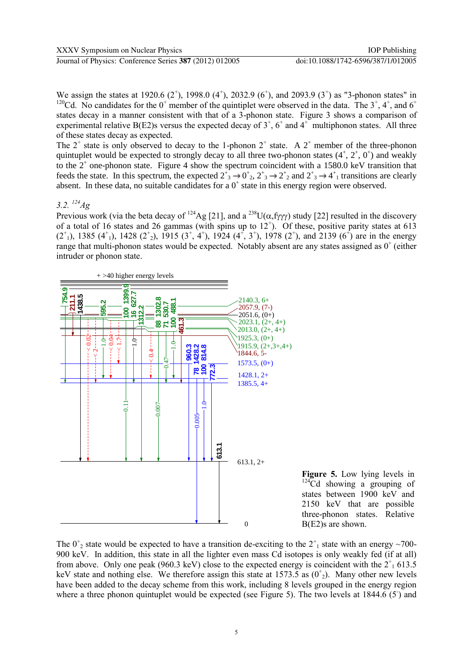We assign the states at 1920.6  $(2^+)$ , 1998.0  $(4^+)$ , 2032.9  $(6^+)$ , and 2093.9  $(3^+)$  as "3-phonon states" in <sup>120</sup>Cd. No candidates for the 0<sup>+</sup> member of the quintiplet were observed in the data. The  $3^{\dagger}$ ,  $4^{\dagger}$ , and  $6^{\dagger}$ states decay in a manner consistent with that of a 3-phonon state. Figure 3 shows a comparison of experimental relative B(E2)s versus the expected decay of  $3^+$ ,  $6^+$  and  $4^+$  multiphonon states. All three of these states decay as expected.

The  $2^+$  state is only observed to decay to the 1-phonon  $2^+$  state. A  $2^+$  member of the three-phonon quintuplet would be expected to strongly decay to all three two-phonon states  $(4^+, 2^+, 0^+)$  and weakly to the  $2^+$  one-phonon state. Figure 4 show the spectrum coincident with a 1580.0 keV transition that feeds the state. In this spectrum, the expected  $2^+_3 \rightarrow 0^+_2$ ,  $2^+_3 \rightarrow 2^+_2$  and  $2^+_3 \rightarrow 4^+_1$  transitions are clearly absent. In these data, no suitable candidates for a  $0^+$  state in this energy region were observed.

## *3.2. <sup>124</sup>Ag*

Previous work (via the beta decay of <sup>124</sup>Ag [21], and a <sup>238</sup>U( $\alpha$ , fy ) study [22] resulted in the discovery of a total of 16 states and 26 gammas (with spins up to  $12^+$ ). Of these, positive parity states at 613  $(2^{\dagger})$ , 1385  $(4^{\dagger})$ , 1428  $(2^{\dagger})$ , 1915  $(3^{\dagger}, 4^{\dagger})$ , 1924  $(4^{\dagger}, 3^{\dagger})$ , 1978  $(2^{\dagger})$ , and 2139  $(6^{\dagger})$  are in the energy range that multi-phonon states would be expected. Notably absent are any states assigned as  $0^+$  (either intruder or phonon state.



**Figure 5.** Low lying levels in  $124\text{Cd}$  showing a grouping of states between 1900 keV and 2150 keV that are possible three-phonon states. Relative B(E2)s are shown.

The  $0^{\dagger}_2$  state would be expected to have a transition de-exciting to the  $2^{\dagger}_1$  state with an energy ~700-900 keV. In addition, this state in all the lighter even mass Cd isotopes is only weakly fed (if at all) from above. Only one peak (960.3 keV) close to the expected energy is coincident with the  $2^+$ <sub>1</sub> 613.5 keV state and nothing else. We therefore assign this state at  $1573.5$  as  $(0^{\dagger}_{2})$ . Many other new levels have been added to the decay scheme from this work, including 8 levels grouped in the energy region where a three phonon quintuplet would be expected (see Figure 5). The two levels at  $1844.6(5)$  and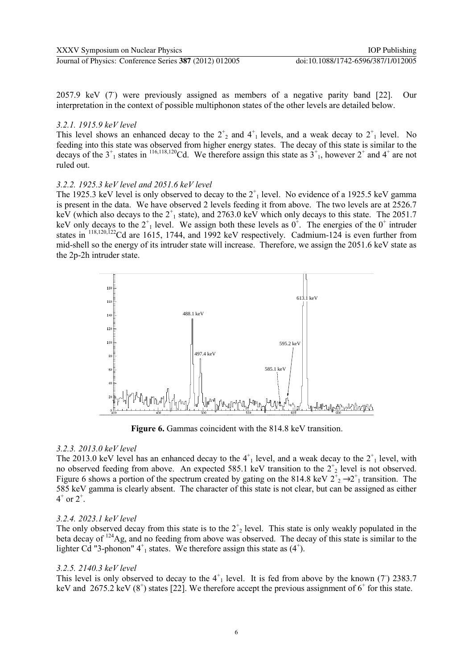Journal of Physics: Conference Series **387** (2012) 012005 doi:10.1088/1742-6596/387/1/012005

2057.9 keV (7) were previously assigned as members of a negative parity band [22]. Our interpretation in the context of possible multiphonon states of the other levels are detailed below.

## *3.2.1. 1915.9 keV level*

This level shows an enhanced decay to the  $2^{\dagger}_2$  and  $4^{\dagger}_1$  levels, and a weak decay to  $2^{\dagger}_1$  level. No feeding into this state was observed from higher energy states. The decay of this state is similar to the decays of the  $3^+$ <sub>1</sub> states in <sup>116,118,120</sup>Cd. We therefore assign this state as  $3^+$ <sub>1</sub>, however  $2^+$  and  $4^+$  are not ruled out.

## *3.2.2. 1925.3 keV level and 2051.6 keV level*

The 1925.3 keV level is only observed to decay to the  $2^+_1$  level. No evidence of a 1925.5 keV gamma is present in the data. We have observed 2 levels feeding it from above. The two levels are at 2526.7 keV (which also decays to the  $2^+$ <sub>1</sub> state), and 2763.0 keV which only decays to this state. The 2051.7 keV only decays to the  $2^+$ <sub>1</sub> level. We assign both these levels as  $0^+$ . The energies of the  $0^+$  intruder states in <sup>118,120,122</sup>Cd are 1615, 1744, and 1992 keV respectively. Cadmium-124 is even further from mid-shell so the energy of its intruder state will increase. Therefore, we assign the 2051.6 keV state as the 2p-2h intruder state.



**Figure 6.** Gammas coincident with the 814.8 keV transition.

## *3.2.3. 2013.0 keV level*

The 2013.0 keV level has an enhanced decay to the  $4^{\dagger}_{1}$  level, and a weak decay to the  $2^{\dagger}_{1}$  level, with no observed feeding from above. An expected 585.1 keV transition to the  $2^+$ <sub>2</sub> level is not observed. Figure 6 shows a portion of the spectrum created by gating on the 814.8 keV  $2^+$ <sub>2</sub>  $\rightarrow 2^+$ <sub>1</sub> transition. The 585 keV gamma is clearly absent. The character of this state is not clear, but can be assigned as either  $4^{+}$  or  $2^{+}$ .

## *3.2.4. 2023.1 keV level*

The only observed decay from this state is to the  $2^+$ <sub>2</sub> level. This state is only weakly populated in the beta decay of <sup>124</sup>Ag, and no feeding from above was observed. The decay of this state is similar to the lighter Cd "3-phonon"  $4^+_1$  states. We therefore assign this state as  $(4^+)$ .

## *3.2.5. 2140.3 keV level*

This level is only observed to decay to the  $4^+$ <sub>1</sub> level. It is fed from above by the known (7) 2383.7 keV and  $2675.2$  keV (8<sup>+</sup>) states [22]. We therefore accept the previous assignment of 6<sup>+</sup> for this state.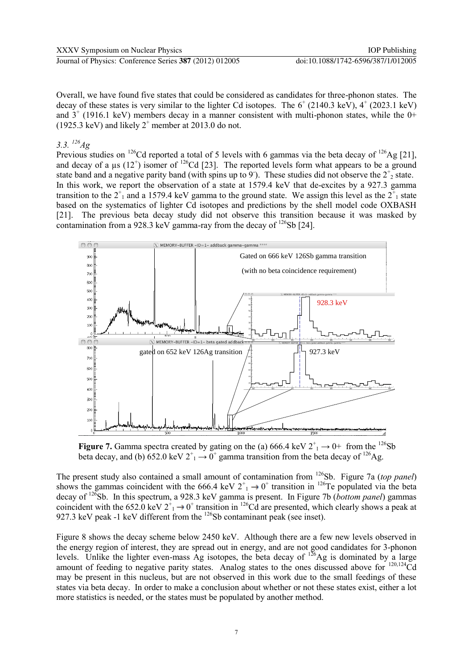Overall, we have found five states that could be considered as candidates for three-phonon states. The decay of these states is very similar to the lighter Cd isotopes. The  $6^+$  (2140.3 keV),  $4^+$  (2023.1 keV) and  $3^+$  (1916.1 keV) members decay in a manner consistent with multi-phonon states, while the 0+  $(1925.3 \text{ keV})$  and likely  $2^+$  member at 2013.0 do not.

*3.3. <sup>126</sup>Ag*

Previous studies on  $^{126}$ Cd reported a total of 5 levels with 6 gammas via the beta decay of  $^{126}$ Ag [21], and decay of a  $\mu$ s (12<sup>+</sup>) isomer of <sup>126</sup>Cd [23]. The reported levels form what appears to be a ground state band and a negative parity band (with spins up to 9). These studies did not observe the  $2^+$ <sub>2</sub> state. In this work, we report the observation of a state at 1579.4 keV that de-excites by a 927.3 gamma transition to the  $2^+$ <sub>1</sub> and a 1579.4 keV gamma to the ground state. We assign this level as the  $2^+$ <sub>1</sub> state based on the systematics of lighter Cd isotopes and predictions by the shell model code OXBASH [21]. The previous beta decay study did not observe this transition because it was masked by contamination from a 928.3 keV gamma-ray from the decay of  $^{126}Sb$  [24].



**Figure 7.** Gamma spectra created by gating on the (a) 666.4 keV  $2^+_1 \rightarrow 0^+$  from the <sup>126</sup>Sb beta decay, and (b) 652.0 keV  $2^+_1 \rightarrow 0^+$  gamma transition from the beta decay of <sup>126</sup>Ag.

The present study also contained a small amount of contamination from <sup>126</sup>Sb. Figure 7a (*top panel*) shows the gammas coincident with the 666.4 keV  $2^+$ <sub>1</sub>  $\rightarrow$  0<sup>+</sup> transition in <sup>126</sup>Te populated via the beta decay of <sup>126</sup>Sb. In this spectrum, a 928.3 keV gamma is present. In Figure 7b (*bottom panel*) gammas coincident with the 652.0 keV  $2^+_1 \rightarrow 0^+$  transition in <sup>126</sup>Cd are presented, which clearly shows a peak at 927.3 keV peak -1 keV different from the <sup>126</sup>Sb contaminant peak (see inset).

Figure 8 shows the decay scheme below 2450 keV. Although there are a few new levels observed in the energy region of interest, they are spread out in energy, and are not good candidates for 3-phonon levels. Unlike the lighter even-mass Ag isotopes, the beta decay of  $126$ Ag is dominated by a large amount of feeding to negative parity states. Analog states to the ones discussed above for <sup>120,124</sup>Cd may be present in this nucleus, but are not observed in this work due to the small feedings of these states via beta decay. In order to make a conclusion about whether or not these states exist, either a lot more statistics is needed, or the states must be populated by another method.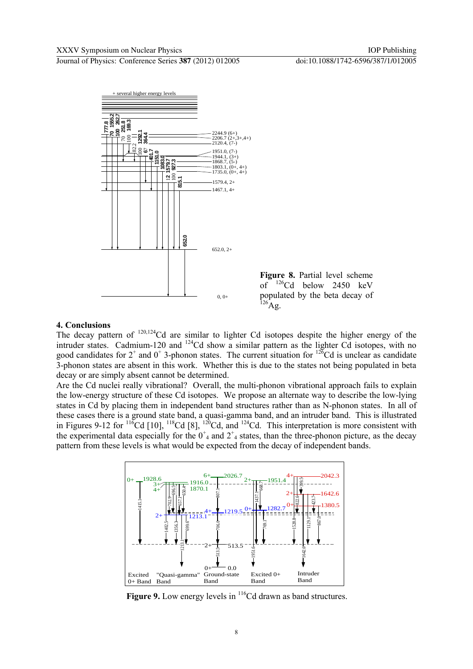

## **4. Conclusions**

The decay pattern of <sup>120,124</sup>Cd are similar to lighter Cd isotopes despite the higher energy of the intruder states. Cadmium-120 and  $124$ Cd show a similar pattern as the lighter Cd isotopes, with no good candidates for  $2^+$  and  $0^+$  3-phonon states. The current situation for  $12^{\circ}$ Cd is unclear as candidate 3-phonon states are absent in this work. Whether this is due to the states not being populated in beta decay or are simply absent cannot be determined.

Are the Cd nuclei really vibrational? Overall, the multi-phonon vibrational approach fails to explain the low-energy structure of these Cd isotopes. We propose an alternate way to describe the low-lying states in Cd by placing them in independent band structures rather than as N-phonon states. In all of these cases there is a ground state band, a quasi-gamma band, and an intruder band. This is illustrated in Figures 9-12 for  $\frac{116}{10}$ Cd [10],  $\frac{118}{10}$ Cd [8],  $\frac{120}{10}$ Cd, and  $\frac{124}{10}$ Cd. This interpretation is more consistent with the experimental data especially for the  $0^+$  and  $2^+$  states, than the three-phonon picture, as the decay pattern from these levels is what would be expected from the decay of independent bands.



Figure 9. Low energy levels in <sup>116</sup>Cd drawn as band structures.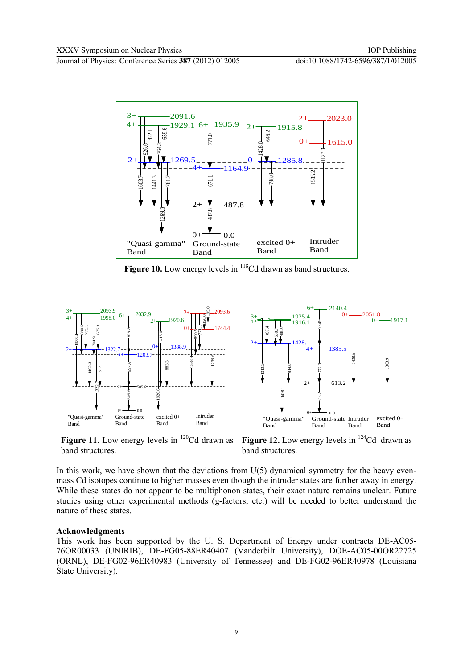Journal of Physics: Conference Series **387** (2012) 012005 doi:10.1088/1742-6596/387/1/012005



**Figure 10.** Low energy levels in <sup>118</sup>Cd drawn as band structures.



**Figure 11.** Low energy levels in  $^{120}$ Cd drawn as band structures.

**Figure 12.** Low energy levels in  $^{124}$ Cd drawn as band structures.

In this work, we have shown that the deviations from  $U(5)$  dynamical symmetry for the heavy evenmass Cd isotopes continue to higher masses even though the intruder states are further away in energy. While these states do not appear to be multiphonon states, their exact nature remains unclear. Future studies using other experimental methods (g-factors, etc.) will be needed to better understand the nature of these states.

## **Acknowledgments**

This work has been supported by the U. S. Department of Energy under contracts DE-AC05- 76OR00033 (UNIRIB), DE-FG05-88ER40407 (Vanderbilt University), DOE-AC05-00OR22725 (ORNL), DE-FG02-96ER40983 (University of Tennessee) and DE-FG02-96ER40978 (Louisiana State University).